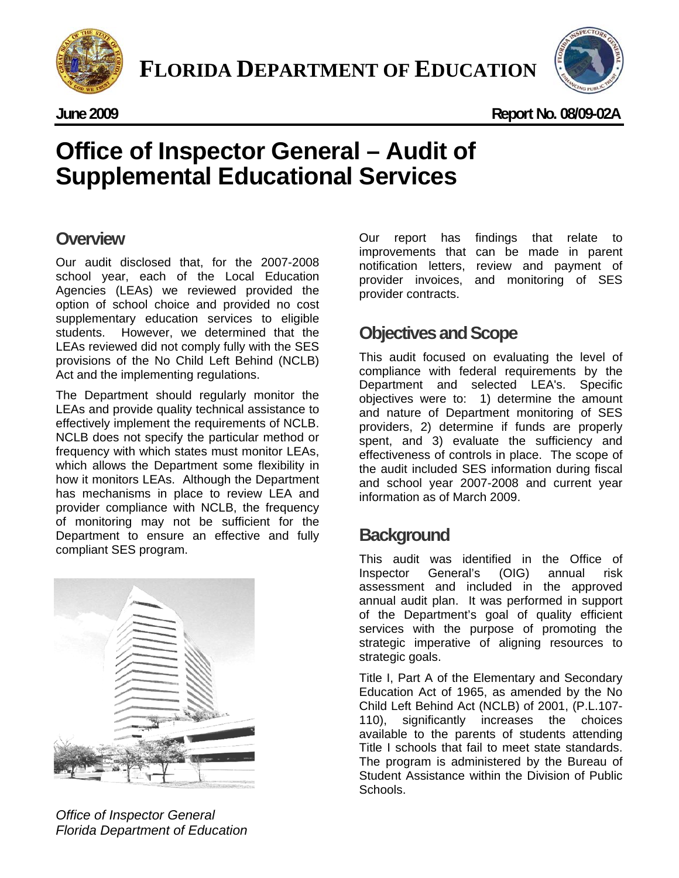



**June 2009 Report No. 08/09-02A** 

# Office of Inspector General – Audit of<br>Supplemental Educational Services **Office of Inspector General – Audit of**

# **Overview**

Our audit disclosed that, for the 2007-2008 school year, each of the Local Education Agencies (LEAs) we reviewed provided the option of school choice and provided no cost supplementary education services to eligible students. However, we determined that the LEAs reviewed did not comply fully with the SES provisions of the No Child Left Behind (NCLB) Act and the implementing regulations.

The Department should regularly monitor the LEAs and provide quality technical assistance to effectively implement the requirements of NCLB. NCLB does not specify the particular method or frequency with which states must monitor LEAs, which allows the Department some flexibility in how it monitors LEAs. Although the Department has mechanisms in place to review LEA and provider compliance with NCLB, the frequency of monitoring may not be sufficient for the Department to ensure an effective and fully compliant SES program.



*Office of Inspector General Florida Department of Education* 

Our report has findings that relate to improvements that can be made in parent notification letters, review and payment of provider invoices, and monitoring of SES provider contracts.

# **Objectives and Scope**

This audit focused on evaluating the level of compliance with federal requirements by the Department and selected LEA's. Specific objectives were to: 1) determine the amount and nature of Department monitoring of SES providers, 2) determine if funds are properly spent, and 3) evaluate the sufficiency and effectiveness of controls in place. The scope of the audit included SES information during fiscal and school year 2007-2008 and current year information as of March 2009.

# **Background**

This audit was identified in the Office of Inspector General's (OIG) annual risk assessment and included in the approved annual audit plan. It was performed in support of the Department's goal of quality efficient services with the purpose of promoting the strategic imperative of aligning resources to strategic goals.

Title I, Part A of the Elementary and Secondary Education Act of 1965, as amended by the No Child Left Behind Act (NCLB) of 2001, (P.L.107- 110), significantly increases the choices available to the parents of students attending Title I schools that fail to meet state standards. The program is administered by the Bureau of Student Assistance within the Division of Public Schools.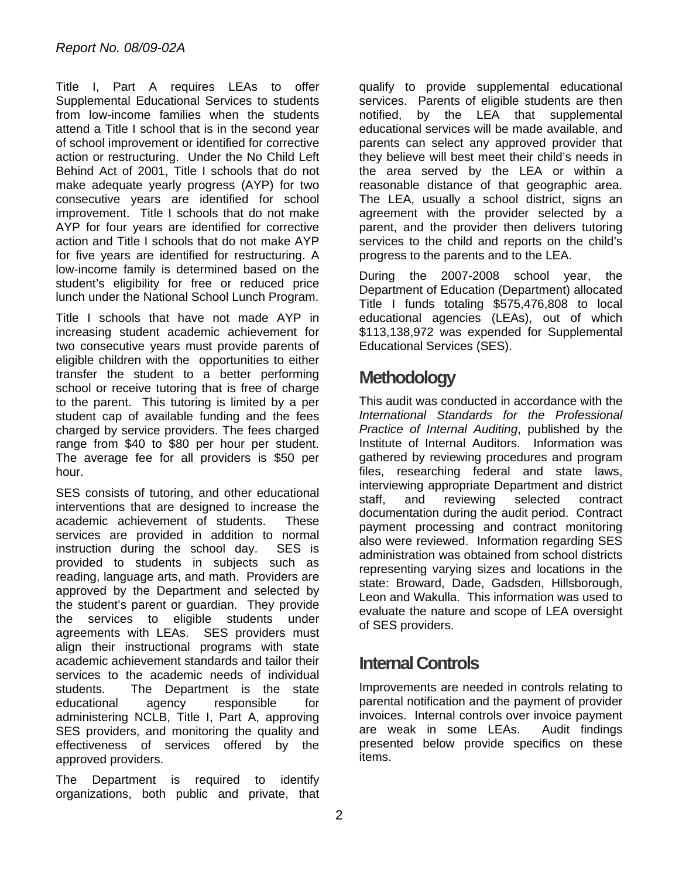Title I, Part A requires LEAs to offer Supplemental Educational Services to students from low-income families when the students attend a Title I school that is in the second year of school improvement or identified for corrective action or restructuring. Under the No Child Left Behind Act of 2001, Title I schools that do not make adequate yearly progress (AYP) for two consecutive years are identified for school improvement. Title I schools that do not make AYP for four years are identified for corrective action and Title I schools that do not make AYP for five years are identified for restructuring. A low-income family is determined based on the student's eligibility for free or reduced price lunch under the National School Lunch Program.

Title I schools that have not made AYP in increasing student academic achievement for two consecutive years must provide parents of eligible children with the opportunities to either transfer the student to a better performing school or receive tutoring that is free of charge to the parent. This tutoring is limited by a per student cap of available funding and the fees charged by service providers. The fees charged range from \$40 to \$80 per hour per student. The average fee for all providers is \$50 per hour.

SES consists of tutoring, and other educational interventions that are designed to increase the academic achievement of students. These services are provided in addition to normal instruction during the school day. SES is provided to students in subjects such as reading, language arts, and math. Providers are approved by the Department and selected by the student's parent or guardian. They provide the services to eligible students under agreements with LEAs. SES providers must align their instructional programs with state academic achievement standards and tailor their services to the academic needs of individual students. The Department is the state educational agency responsible for administering NCLB, Title I, Part A, approving SES providers, and monitoring the quality and effectiveness of services offered by the approved providers.

The Department is required to identify organizations, both public and private, that

qualify to provide supplemental educational services. Parents of eligible students are then notified, by the LEA that supplemental educational services will be made available, and parents can select any approved provider that they believe will best meet their child's needs in the area served by the LEA or within a reasonable distance of that geographic area. The LEA, usually a school district, signs an agreement with the provider selected by a parent, and the provider then delivers tutoring services to the child and reports on the child's progress to the parents and to the LEA.

During the 2007-2008 school year, the Department of Education (Department) allocated Title I funds totaling \$575,476,808 to local educational agencies (LEAs), out of which \$113,138,972 was expended for Supplemental Educational Services (SES).

# **Methodology**

This audit was conducted in accordance with the *International Standards for the Professional Practice of Internal Auditing*, published by the Institute of Internal Auditors. Information was gathered by reviewing procedures and program files, researching federal and state laws, interviewing appropriate Department and district staff, and reviewing selected contract documentation during the audit period. Contract payment processing and contract monitoring also were reviewed. Information regarding SES administration was obtained from school districts representing varying sizes and locations in the state: Broward, Dade, Gadsden, Hillsborough, Leon and Wakulla. This information was used to evaluate the nature and scope of LEA oversight of SES providers.

# **Internal Controls**

Improvements are needed in controls relating to parental notification and the payment of provider invoices. Internal controls over invoice payment are weak in some LEAs. Audit findings presented below provide specifics on these items.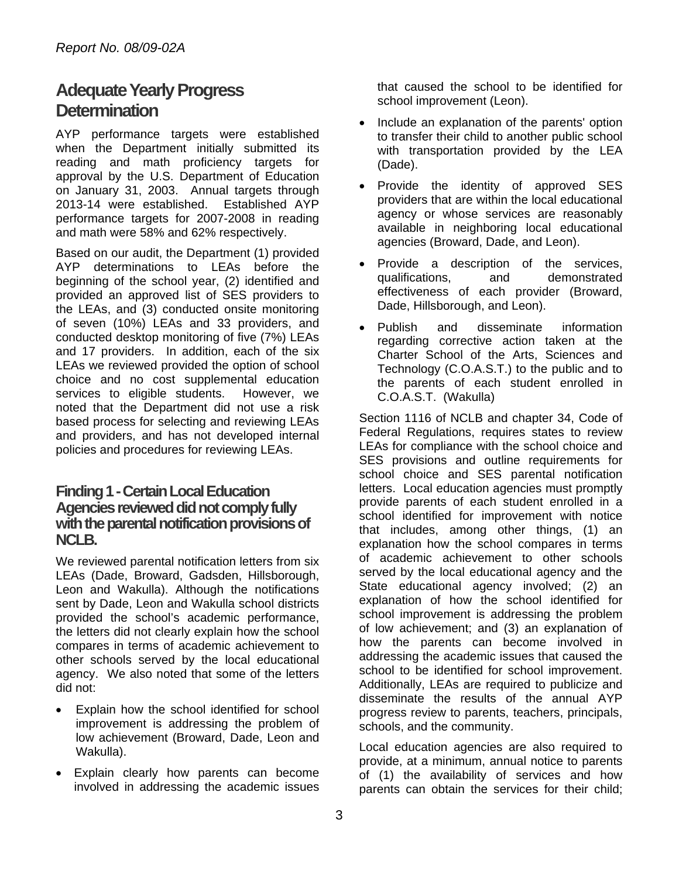# **Adequate Yearly Progress Determination**

AYP performance targets were established when the Department initially submitted its reading and math proficiency targets for approval by the U.S. Department of Education on January 31, 2003. Annual targets through 2013-14 were established. Established AYP performance targets for 2007-2008 in reading and math were 58% and 62% respectively.

Based on our audit, the Department (1) provided AYP determinations to LEAs before the beginning of the school year, (2) identified and provided an approved list of SES providers to the LEAs, and (3) conducted onsite monitoring of seven (10%) LEAs and 33 providers, and conducted desktop monitoring of five (7%) LEAs and 17 providers. In addition, each of the six LEAs we reviewed provided the option of school choice and no cost supplemental education services to eligible students. However, we noted that the Department did not use a risk based process for selecting and reviewing LEAs and providers, and has not developed internal policies and procedures for reviewing LEAs.

### **Finding 1 - Certain Local Education Agencies reviewed did not comply fully with the parental notification provisions of NCLB.**

We reviewed parental notification letters from six LEAs (Dade, Broward, Gadsden, Hillsborough, Leon and Wakulla). Although the notifications sent by Dade, Leon and Wakulla school districts provided the school's academic performance, the letters did not clearly explain how the school compares in terms of academic achievement to other schools served by the local educational agency. We also noted that some of the letters did not:

- Explain how the school identified for school improvement is addressing the problem of low achievement (Broward, Dade, Leon and Wakulla).
- Explain clearly how parents can become involved in addressing the academic issues

that caused the school to be identified for school improvement (Leon).

- Include an explanation of the parents' option to transfer their child to another public school with transportation provided by the LEA (Dade).
- Provide the identity of approved SES providers that are within the local educational agency or whose services are reasonably available in neighboring local educational agencies (Broward, Dade, and Leon).
- Provide a description of the services, qualifications, and demonstrated effectiveness of each provider (Broward, Dade, Hillsborough, and Leon).
- Publish and disseminate information regarding corrective action taken at the Charter School of the Arts, Sciences and Technology (C.O.A.S.T.) to the public and to the parents of each student enrolled in C.O.A.S.T. (Wakulla)

Section 1116 of NCLB and chapter 34, Code of Federal Regulations, requires states to review LEAs for compliance with the school choice and SES provisions and outline requirements for school choice and SES parental notification letters. Local education agencies must promptly provide parents of each student enrolled in a school identified for improvement with notice that includes, among other things, (1) an explanation how the school compares in terms of academic achievement to other schools served by the local educational agency and the State educational agency involved; (2) an explanation of how the school identified for school improvement is addressing the problem of low achievement; and (3) an explanation of how the parents can become involved in addressing the academic issues that caused the school to be identified for school improvement. Additionally, LEAs are required to publicize and disseminate the results of the annual AYP progress review to parents, teachers, principals, schools, and the community.

Local education agencies are also required to provide, at a minimum, annual notice to parents of (1) the availability of services and how parents can obtain the services for their child;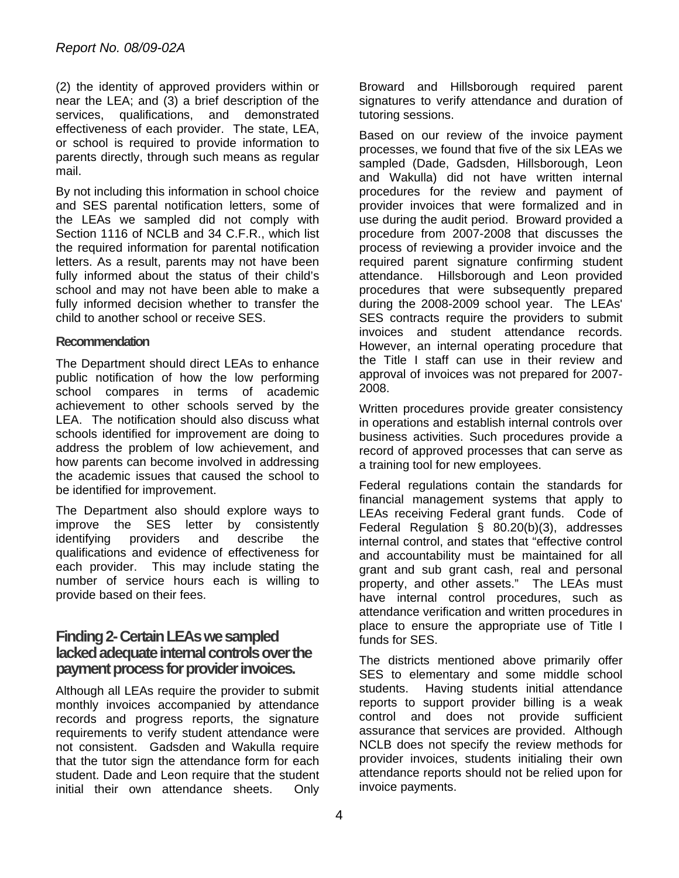(2) the identity of approved providers within or near the LEA; and (3) a brief description of the services, qualifications, and demonstrated effectiveness of each provider. The state, LEA, or school is required to provide information to parents directly, through such means as regular mail.

By not including this information in school choice and SES parental notification letters, some of the LEAs we sampled did not comply with Section 1116 of NCLB and 34 C.F.R., which list the required information for parental notification letters. As a result, parents may not have been fully informed about the status of their child's school and may not have been able to make a fully informed decision whether to transfer the child to another school or receive SES.

#### **Recommendation**

The Department should direct LEAs to enhance public notification of how the low performing school compares in terms of academic achievement to other schools served by the LEA. The notification should also discuss what schools identified for improvement are doing to address the problem of low achievement, and how parents can become involved in addressing the academic issues that caused the school to be identified for improvement.

The Department also should explore ways to improve the SES letter by consistently identifying providers and describe the qualifications and evidence of effectiveness for each provider. This may include stating the number of service hours each is willing to provide based on their fees.

## **Finding 2- Certain LEAs we sampled lacked adequate internal controls over the payment process for provider invoices.**

Although all LEAs require the provider to submit monthly invoices accompanied by attendance records and progress reports, the signature requirements to verify student attendance were not consistent. Gadsden and Wakulla require that the tutor sign the attendance form for each student. Dade and Leon require that the student initial their own attendance sheets. Only

Broward and Hillsborough required parent signatures to verify attendance and duration of tutoring sessions.

Based on our review of the invoice payment processes, we found that five of the six LEAs we sampled (Dade, Gadsden, Hillsborough, Leon and Wakulla) did not have written internal procedures for the review and payment of provider invoices that were formalized and in use during the audit period. Broward provided a procedure from 2007-2008 that discusses the process of reviewing a provider invoice and the required parent signature confirming student attendance. Hillsborough and Leon provided procedures that were subsequently prepared during the 2008-2009 school year. The LEAs' SES contracts require the providers to submit invoices and student attendance records. However, an internal operating procedure that the Title I staff can use in their review and approval of invoices was not prepared for 2007- 2008.

Written procedures provide greater consistency in operations and establish internal controls over business activities. Such procedures provide a record of approved processes that can serve as a training tool for new employees.

Federal regulations contain the standards for financial management systems that apply to LEAs receiving Federal grant funds. Code of Federal Regulation § 80.20(b)(3), addresses internal control, and states that "effective control and accountability must be maintained for all grant and sub grant cash, real and personal property, and other assets." The LEAs must have internal control procedures, such as attendance verification and written procedures in place to ensure the appropriate use of Title I funds for SES.

The districts mentioned above primarily offer SES to elementary and some middle school students. Having students initial attendance reports to support provider billing is a weak control and does not provide sufficient assurance that services are provided. Although NCLB does not specify the review methods for provider invoices, students initialing their own attendance reports should not be relied upon for invoice payments.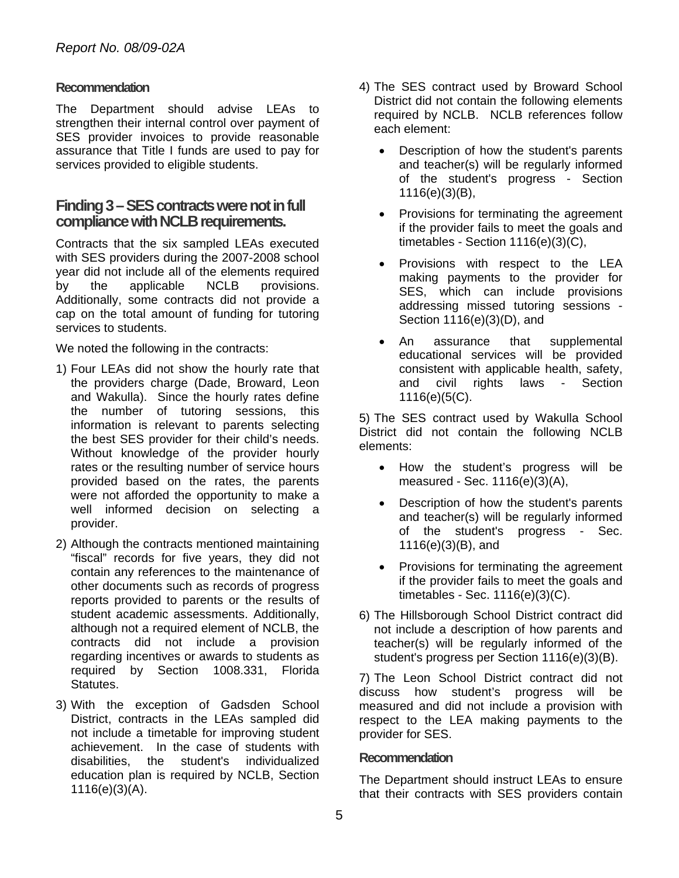#### **Recommendation**

The Department should advise LEAs to strengthen their internal control over payment of SES provider invoices to provide reasonable assurance that Title I funds are used to pay for services provided to eligible students.

## **Finding 3 – SES contracts were not in full compliance with NCLB requirements.**

Contracts that the six sampled LEAs executed with SES providers during the 2007-2008 school year did not include all of the elements required by the applicable NCLB provisions. Additionally, some contracts did not provide a cap on the total amount of funding for tutoring services to students.

We noted the following in the contracts:

- 1) Four LEAs did not show the hourly rate that the providers charge (Dade, Broward, Leon and Wakulla). Since the hourly rates define the number of tutoring sessions, this information is relevant to parents selecting the best SES provider for their child's needs. Without knowledge of the provider hourly rates or the resulting number of service hours provided based on the rates, the parents were not afforded the opportunity to make a well informed decision on selecting a provider.
- 2) Although the contracts mentioned maintaining "fiscal" records for five years, they did not contain any references to the maintenance of other documents such as records of progress reports provided to parents or the results of student academic assessments. Additionally, although not a required element of NCLB, the contracts did not include a provision regarding incentives or awards to students as required by Section 1008.331, Florida Statutes.
- 3) With the exception of Gadsden School District, contracts in the LEAs sampled did not include a timetable for improving student achievement. In the case of students with disabilities, the student's individualized education plan is required by NCLB, Section 1116(e)(3)(A).
- 4) The SES contract used by Broward School District did not contain the following elements required by NCLB. NCLB references follow each element:
	- Description of how the student's parents and teacher(s) will be regularly informed of the student's progress - Section 1116(e)(3)(B),
	- Provisions for terminating the agreement if the provider fails to meet the goals and timetables - Section 1116(e)(3)(C),
	- Provisions with respect to the LEA making payments to the provider for SES, which can include provisions addressing missed tutoring sessions - Section 1116(e)(3)(D), and
	- An assurance that supplemental educational services will be provided consistent with applicable health, safety, and civil rights laws - Section 1116(e)(5(C).

5) The SES contract used by Wakulla School District did not contain the following NCLB elements:

- How the student's progress will be measured - Sec. 1116(e)(3)(A),
- Description of how the student's parents and teacher(s) will be regularly informed of the student's progress - Sec. 1116(e)(3)(B), and
- Provisions for terminating the agreement if the provider fails to meet the goals and timetables - Sec. 1116(e)(3)(C).
- 6) The Hillsborough School District contract did not include a description of how parents and teacher(s) will be regularly informed of the student's progress per Section 1116(e)(3)(B).

7) The Leon School District contract did not discuss how student's progress will be measured and did not include a provision with respect to the LEA making payments to the provider for SES.

#### **Recommendation**

The Department should instruct LEAs to ensure that their contracts with SES providers contain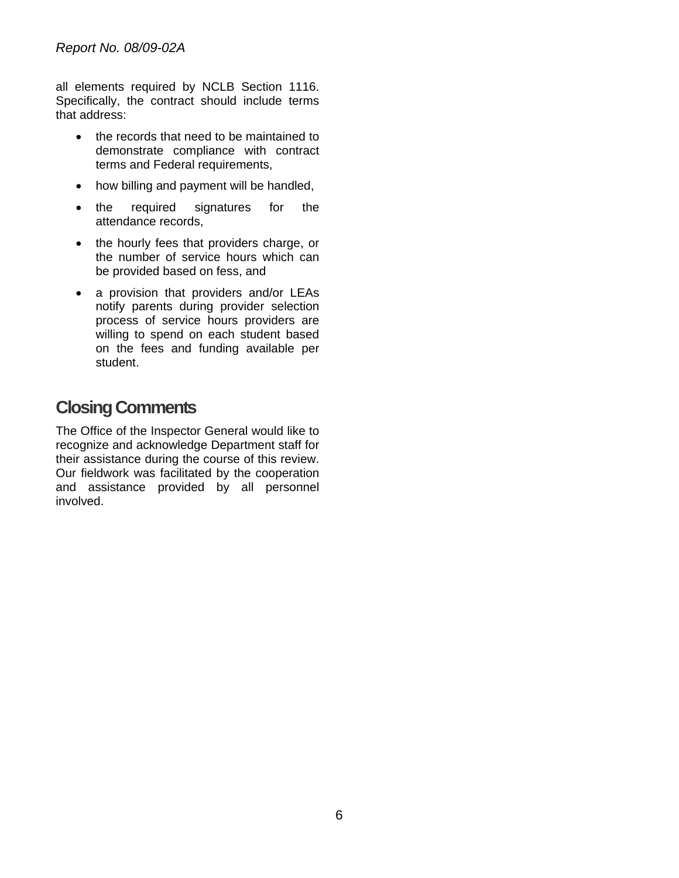all elements required by NCLB Section 1116. Specifically, the contract should include terms that address:

- the records that need to be maintained to demonstrate compliance with contract terms and Federal requirements,
- how billing and payment will be handled,
- the required signatures for the attendance records,
- the hourly fees that providers charge, or the number of service hours which can be provided based on fess, and
- a provision that providers and/or LEAs notify parents during provider selection process of service hours providers are willing to spend on each student based on the fees and funding available per student.

# **Closing Comments**

The Office of the Inspector General would like to recognize and acknowledge Department staff for their assistance during the course of this review. Our fieldwork was facilitated by the cooperation and assistance provided by all personnel involved.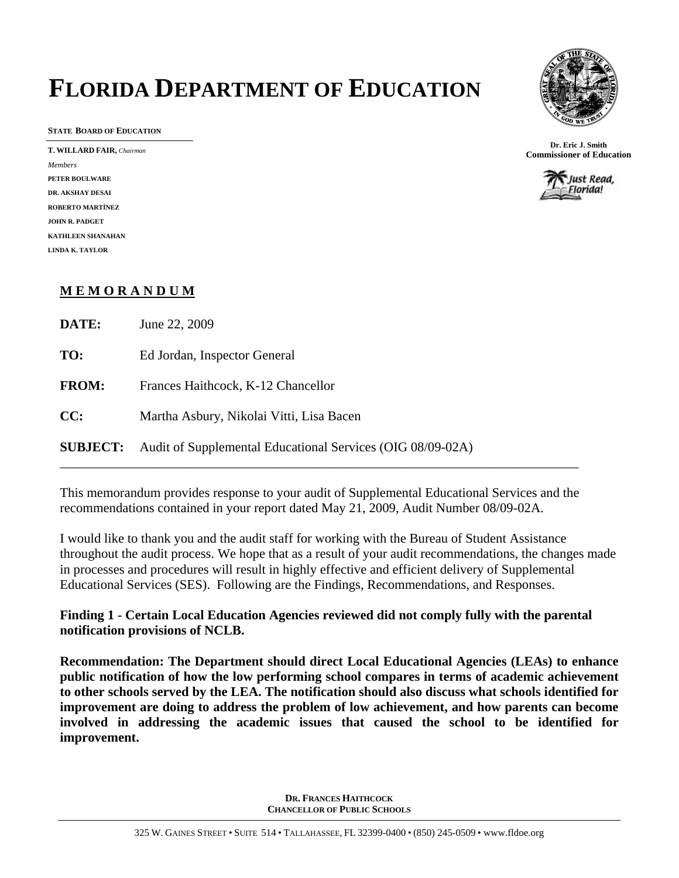# **FLORIDA DEPARTMENT OF EDUCATION**

**STATE BOARD OF EDUCATION** 

*Members*  **PETER BOULWARE DR. AKSHAY DESAI ROBERTO MARTÍNEZ JOHN R. PADGET KATHLEEN SHANAHAN LINDA K. TAYLOR** 



**Dr. Eric J. Smith T. WILLARD FAIR,** *Chairman* **Commissioner of Education Commissioner of Education** 



### **M E M O R A N D U M**

| DATE:           | June 22, 2009                                              |
|-----------------|------------------------------------------------------------|
| TO:             | Ed Jordan, Inspector General                               |
| <b>FROM:</b>    | Frances Haithcock, K-12 Chancellor                         |
| CC:             | Martha Asbury, Nikolai Vitti, Lisa Bacen                   |
| <b>SUBJECT:</b> | Audit of Supplemental Educational Services (OIG 08/09-02A) |

This memorandum provides response to your audit of Supplemental Educational Services and the recommendations contained in your report dated May 21, 2009, Audit Number 08/09-02A.

I would like to thank you and the audit staff for working with the Bureau of Student Assistance throughout the audit process. We hope that as a result of your audit recommendations, the changes made in processes and procedures will result in highly effective and efficient delivery of Supplemental Educational Services (SES). Following are the Findings, Recommendations, and Responses.

**Finding 1 - Certain Local Education Agencies reviewed did not comply fully with the parental notification provisions of NCLB.** 

**Recommendation: The Department should direct Local Educational Agencies (LEAs) to enhance public notification of how the low performing school compares in terms of academic achievement to other schools served by the LEA. The notification should also discuss what schools identified for improvement are doing to address the problem of low achievement, and how parents can become involved in addressing the academic issues that caused the school to be identified for improvement.**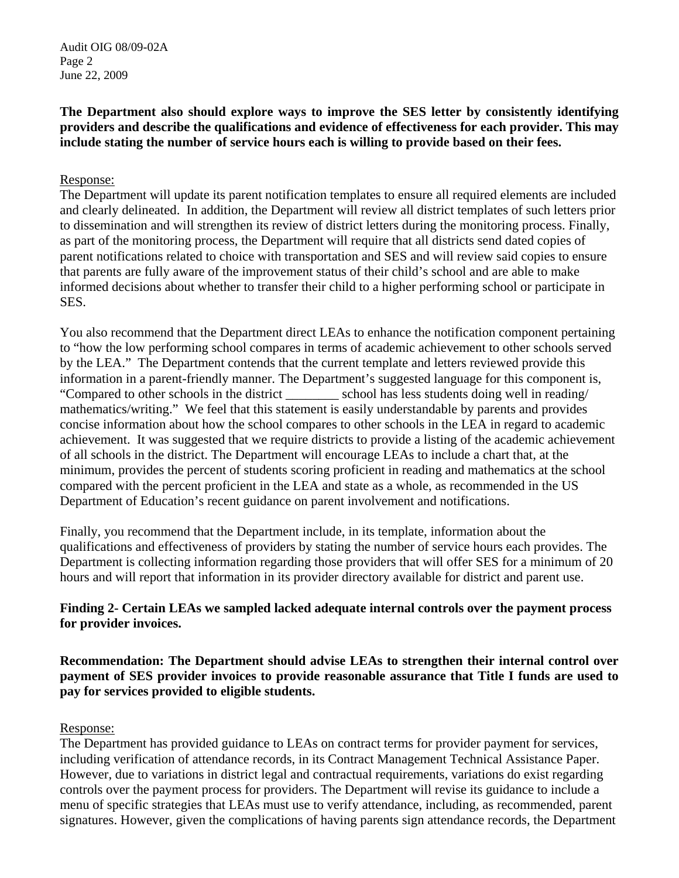### **The Department also should explore ways to improve the SES letter by consistently identifying providers and describe the qualifications and evidence of effectiveness for each provider. This may include stating the number of service hours each is willing to provide based on their fees.**

### Response:

The Department will update its parent notification templates to ensure all required elements are included and clearly delineated. In addition, the Department will review all district templates of such letters prior to dissemination and will strengthen its review of district letters during the monitoring process. Finally, as part of the monitoring process, the Department will require that all districts send dated copies of parent notifications related to choice with transportation and SES and will review said copies to ensure that parents are fully aware of the improvement status of their child's school and are able to make informed decisions about whether to transfer their child to a higher performing school or participate in SES.

You also recommend that the Department direct LEAs to enhance the notification component pertaining to "how the low performing school compares in terms of academic achievement to other schools served by the LEA." The Department contends that the current template and letters reviewed provide this information in a parent-friendly manner. The Department's suggested language for this component is, "Compared to other schools in the district \_\_\_\_\_\_\_\_ school has less students doing well in reading/ mathematics/writing." We feel that this statement is easily understandable by parents and provides concise information about how the school compares to other schools in the LEA in regard to academic achievement. It was suggested that we require districts to provide a listing of the academic achievement of all schools in the district. The Department will encourage LEAs to include a chart that, at the minimum, provides the percent of students scoring proficient in reading and mathematics at the school compared with the percent proficient in the LEA and state as a whole, as recommended in the US Department of Education's recent guidance on parent involvement and notifications.

Finally, you recommend that the Department include, in its template, information about the qualifications and effectiveness of providers by stating the number of service hours each provides. The Department is collecting information regarding those providers that will offer SES for a minimum of 20 hours and will report that information in its provider directory available for district and parent use.

### **Finding 2- Certain LEAs we sampled lacked adequate internal controls over the payment process for provider invoices.**

**Recommendation: The Department should advise LEAs to strengthen their internal control over payment of SES provider invoices to provide reasonable assurance that Title I funds are used to pay for services provided to eligible students.** 

### Response:

The Department has provided guidance to LEAs on contract terms for provider payment for services, including verification of attendance records, in its Contract Management Technical Assistance Paper. However, due to variations in district legal and contractual requirements, variations do exist regarding controls over the payment process for providers. The Department will revise its guidance to include a menu of specific strategies that LEAs must use to verify attendance, including, as recommended, parent signatures. However, given the complications of having parents sign attendance records, the Department